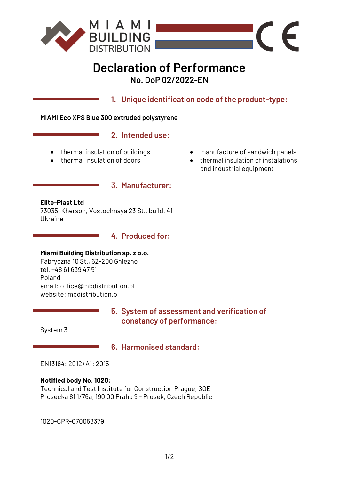

# **Declaration of Performance No. DoP 02/2022-EN**

**1. Unique identification code of the product-type:**

#### **MIAMI Eco XPS Blue 300 extruded polystyrene**

## **2. Intended use:**

**3. Manufacturer:**

- thermal insulation of buildings
- thermal insulation of doors
- manufacture of sandwich panels

 $\epsilon$ 

• thermal insulation of instalations and industrial equipment

#### **Elite-Plast Ltd**

73035, Kherson, Vostochnaya 23 St., build. 41 Ukraine

> $\mathcal{L}^{\text{max}}_{\text{max}}$ **4. Produced for:**

# **Miami Building Distribution sp. z o.o.**

Fabryczna 10 St., 62-200 Gniezno tel. +48 61 639 47 51 Poland email: office@mbdistribution.pl website: mbdistribution.pl

> **5. System of assessment and verification of constancy of performance:**

System 3

# **6. Harmonised standard:**

EN13164: 2012+A1: 2015

## **Notified body No. 1020:**

Technical and Test Institute for Construction Prague, SOE Prosecka 81 1/76a, 190 00 Praha 9 - Prosek, Czech Republic

1020-CPR-070058379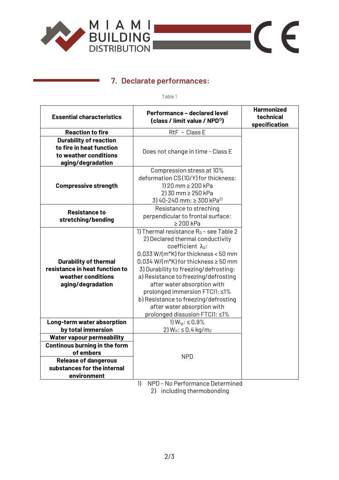

# **7. Declarate performances:**

Table 1

 $C \in$ 

| <b>Essential characteristics</b>                                                                                                                            | Performance - declared level<br>(class / limit value / NPD <sup>1)</sup> )                                                                                                                                                                                                                                                                                                                                                                                                               | <b>Harmonized</b><br>technical<br>specification |
|-------------------------------------------------------------------------------------------------------------------------------------------------------------|------------------------------------------------------------------------------------------------------------------------------------------------------------------------------------------------------------------------------------------------------------------------------------------------------------------------------------------------------------------------------------------------------------------------------------------------------------------------------------------|-------------------------------------------------|
| <b>Reaction to fire</b>                                                                                                                                     | RtF - Class E                                                                                                                                                                                                                                                                                                                                                                                                                                                                            |                                                 |
| <b>Durability of reaction</b>                                                                                                                               |                                                                                                                                                                                                                                                                                                                                                                                                                                                                                          |                                                 |
| to fire in heat function<br>to weather conditions<br>aging/degradation                                                                                      | Does not change in time - Class E                                                                                                                                                                                                                                                                                                                                                                                                                                                        |                                                 |
| <b>Compressive strength</b>                                                                                                                                 | Compression stress at 10%<br>deformation CS(10/Y) for thickness:<br>1) 20 mm $\geq$ 200 kPa<br>2) 30 mm ≥ 250 kPa<br>3) 40-240 mm: $\geq$ 300 kPa <sup>2)</sup>                                                                                                                                                                                                                                                                                                                          |                                                 |
| <b>Resistance to</b><br>stretching/bending                                                                                                                  | Resistance to streching<br>perpendicular to frontal surface:<br>$\geq 200$ kPa                                                                                                                                                                                                                                                                                                                                                                                                           |                                                 |
| <b>Durability of thermal</b><br>resistance in heat function to<br>weather conditions<br>aging/degradation                                                   | 1) Thermal resistance $R_D$ - see Table 2<br>2) Declared thermal conductivity<br>coefficient $\lambda_{0}$ :<br>$0.033$ W/(m <sup>*</sup> K) for thickness < 50 mm<br>$0.034$ W/(m <sup>*</sup> K) for thickness $\geq 50$ mm<br>3) Durability to freezing/defrosting:<br>a) Resistance to freezing/defrosting<br>after water absorption with<br>prolonged immersion FTCI1: ≤1%<br>b) Resistance to freezing/defrosting<br>after water absorption with<br>prolonged dissusion FTCI1: ≤1% |                                                 |
| Long-term water absorption<br>by total immersion                                                                                                            | 1) $W_{10}$ : $\leq 0.9\%$<br>2) $W_{1t}$ : $\leq$ 0,4 kg/m <sub>2</sub>                                                                                                                                                                                                                                                                                                                                                                                                                 |                                                 |
| <b>Water vapour permeability</b><br>Continous burning in the form<br>of embers<br><b>Release of dangerous</b><br>substances for the internal<br>environment | <b>NPD</b>                                                                                                                                                                                                                                                                                                                                                                                                                                                                               |                                                 |
|                                                                                                                                                             | 1)<br>NDD No Derfermance Determined                                                                                                                                                                                                                                                                                                                                                                                                                                                      |                                                 |

1) NPD – No Performance Determined